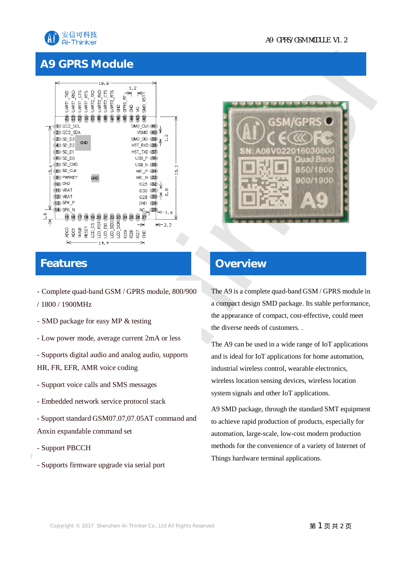

### **A9 GPRS Module**



#### **Features**

- Complete quad-band GSM / GPRS module, 800/900
- / 1800 / 1900MHz
- SMD package for easy MP & testing
- Low power mode, average current 2mA or less
- Supports digital audio and analog audio, supports HR, FR, EFR, AMR voice coding
- Support voice calls and SMS messages
- Embedded network service protocol stack
- Support standard GSM07.07,07.05AT command and Anxin expandable command set
- Support PBCCH
- Supports firmware upgrade via serial port





#### **Overview**

The A9 is a complete quad-band GSM / GPRS module in a compact design SMD package. Its stable performance, the appearance of compact, cost-effective, could meet the diverse needs of customers. .

The A9 can be used in a wide range of IoT applications and is ideal for IoT applications for home automation, industrial wireless control, wearable electronics, wireless location sensing devices, wireless location system signals and other IoT applications.

A9 SMD package, through the standard SMT equipment to achieve rapid production of products, especially for automation, large-scale, low-cost modern production methods for the convenience of a variety of Internet of Things hardware terminal applications.